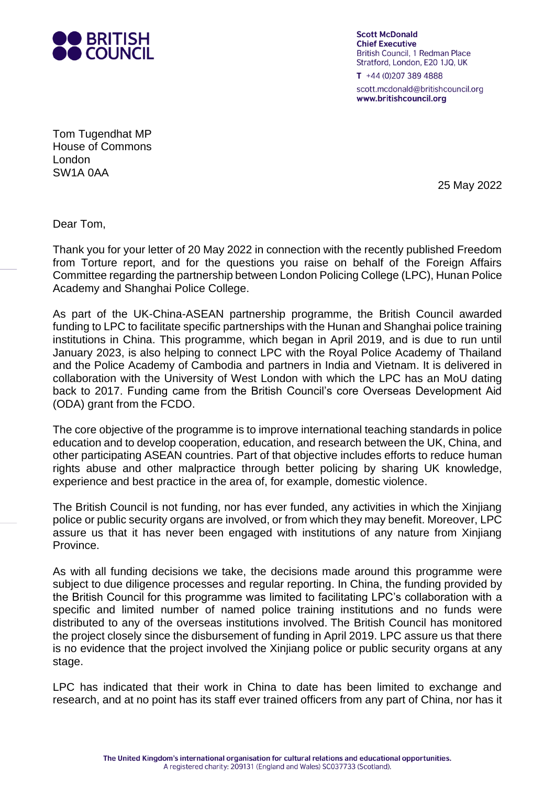

**Scott McDonald Chief Executive British Council, 1 Redman Place** Stratford, London, E20 1JQ, UK

 $T + 44(0)2073894888$ scott.mcdonald@britishcouncil.org www.britishcouncil.org

Tom Tugendhat MP House of Commons London SW1A 0AA

25 May 2022

Dear Tom,

 Thank you for your letter of 20 May 2022 in connection with the recently published Freedom from Torture report, and for the questions you raise on behalf of the Foreign Affairs Committee regarding the partnership between London Policing College (LPC), Hunan Police Academy and Shanghai Police College.

 As part of the UK-China-ASEAN partnership programme, the British Council awarded funding to LPC to facilitate specific partnerships with the Hunan and Shanghai police training institutions in China. This programme, which began in April 2019, and is due to run until January 2023, is also helping to connect LPC with the Royal Police Academy of Thailand and the Police Academy of Cambodia and partners in India and Vietnam. It is delivered in collaboration with the University of West London with which the LPC has an MoU dating back to 2017. Funding came from the British Council's core Overseas Development Aid (ODA) grant from the FCDO.

 The core objective of the programme is to improve international teaching standards in police education and to develop cooperation, education, and research between the UK, China, and other participating ASEAN countries. Part of that objective includes efforts to reduce human rights abuse and other malpractice through better policing by sharing UK knowledge, experience and best practice in the area of, for example, domestic violence.

 The British Council is not funding, nor has ever funded, any activities in which the Xinjiang police or public security organs are involved, or from which they may benefit. Moreover, LPC assure us that it has never been engaged with institutions of any nature from Xinjiang Province.

 As with all funding decisions we take, the decisions made around this programme were the British Council for this programme was limited to facilitating LPC's collaboration with a specific and limited number of named police training institutions and no funds were distributed to any of the overseas institutions involved. The British Council has monitored the project closely since the disbursement of funding in April 2019. LPC assure us that there is no evidence that the project involved the Xinjiang police or public security organs at any subject to due diligence processes and regular reporting. In China, the funding provided by stage.

 LPC has indicated that their work in China to date has been limited to exchange and research, and at no point has its staff ever trained officers from any part of China, nor has it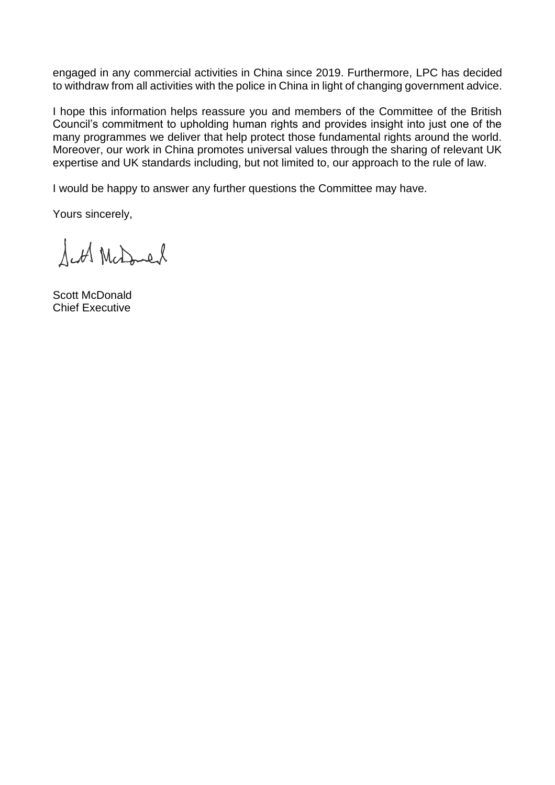engaged in any commercial activities in China since 2019. Furthermore, LPC has decided to withdraw from all activities with the police in China in light of changing government advice.

 I hope this information helps reassure you and members of the Committee of the British Council's commitment to upholding human rights and provides insight into just one of the many programmes we deliver that help protect those fundamental rights around the world. Moreover, our work in China promotes universal values through the sharing of relevant UK expertise and UK standards including, but not limited to, our approach to the rule of law.

I would be happy to answer any further questions the Committee may have.

Yours sincerely,

Sett McDoned

Scott McDonald Chief Executive